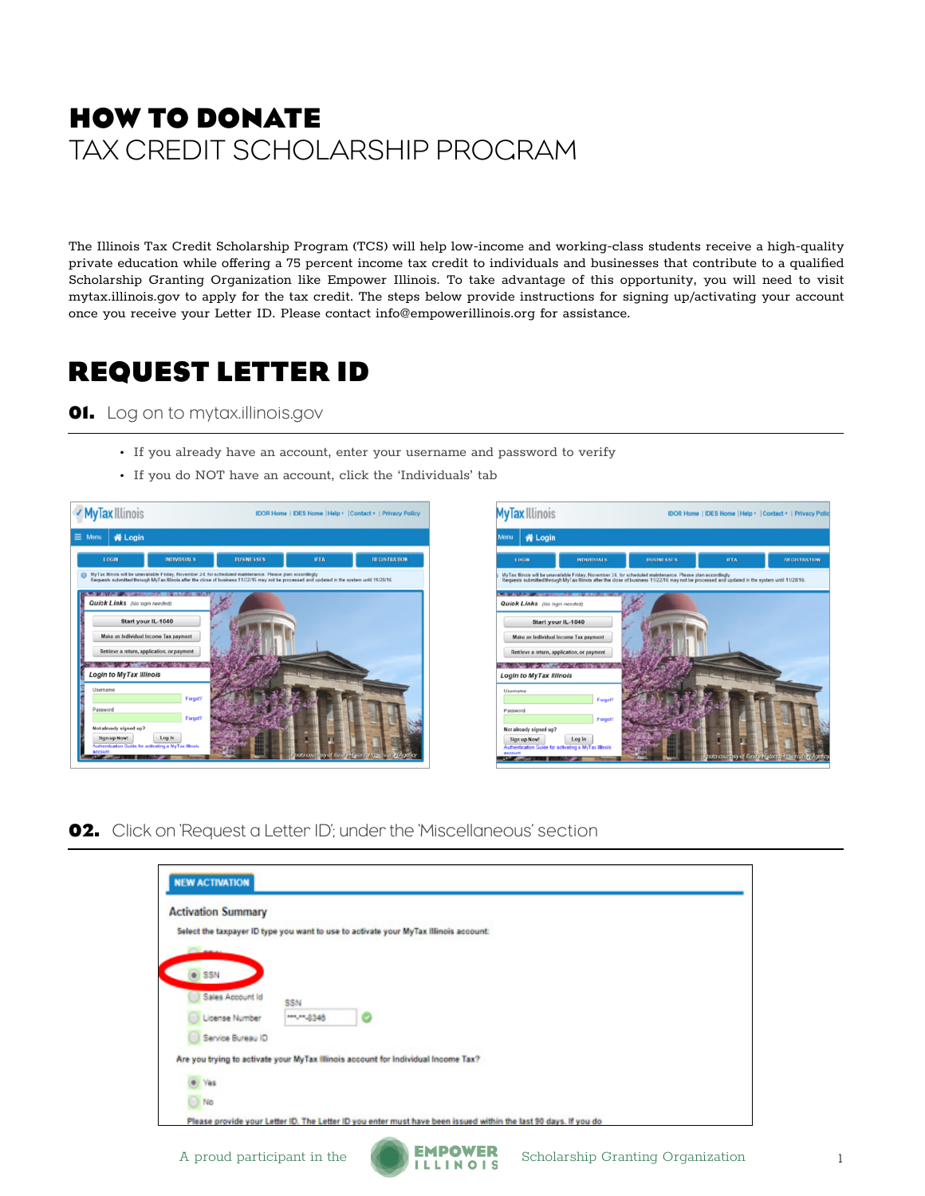## **HOW TO DONATE** TAX CREDIT SCHOLARSHIP PROGRAM

The Illinois Tax Credit Scholarship Program (TCS) will help low-income and working-class students receive a high-quality private education while offering a 75 percent income tax credit to individuals and businesses that contribute to a qualified Scholarship Granting Organization like Empower Illinois. To take advantage of this opportunity, you will need to visit mytax.illinois.gov to apply for the tax credit. The steps below provide instructions for signing up/activating your account once you receive your Letter ID. Please contact info@empowerillinois.org for assistance.

### **REQUEST LETTER ID**

#### **01.** Log on to mytax.illinois.gov

- If you already have an account, enter your username and password to verify
- If you do NOT have an account, click the 'Individuals' tab





**02.** Click on 'Request a Letter ID'; under the 'Miscellaneous' section

| <b>NEW ACTIVATION</b>     |            |                                                                                                                 |  |
|---------------------------|------------|-----------------------------------------------------------------------------------------------------------------|--|
| <b>Activation Summary</b> |            |                                                                                                                 |  |
|                           |            | Select the taxpayer ID type you want to use to activate your MyTax Illinois account:                            |  |
|                           |            |                                                                                                                 |  |
| $\bullet$ SSN             |            |                                                                                                                 |  |
| Sales Account Id          | SSN        |                                                                                                                 |  |
| License Number            | ***** 8346 |                                                                                                                 |  |
| Service Bureau ID<br>o    |            |                                                                                                                 |  |
|                           |            | Are you trying to activate your MyTax Illinois account for Individual Income Tax?                               |  |
| e Yes                     |            |                                                                                                                 |  |
| $\bigcirc$ No             |            |                                                                                                                 |  |
|                           |            | Please provide your Letter ID. The Letter ID you enter must have been issued within the last 90 days. If you do |  |

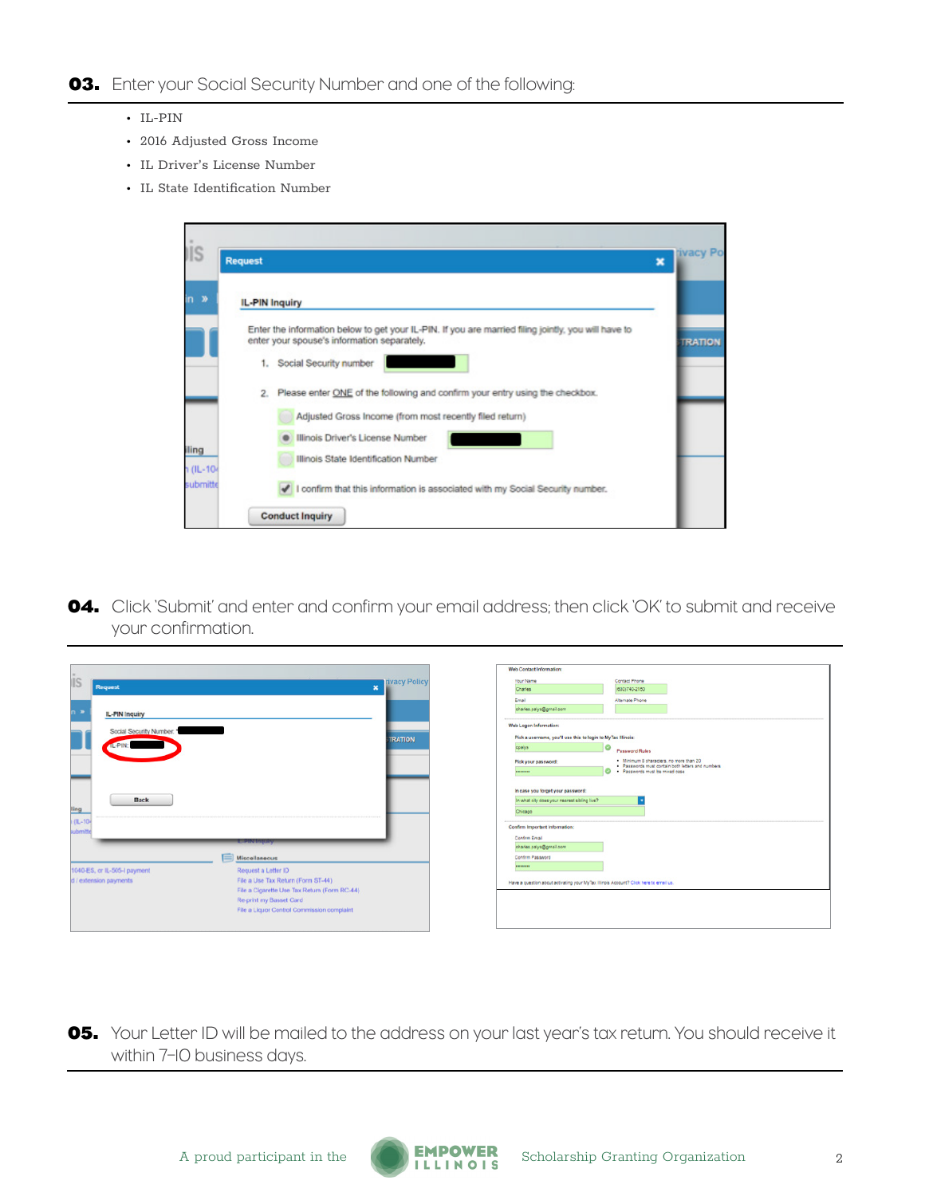- IL-PIN
- 2016 Adjusted Gross Income
- IL Driver's License Number
- IL State Identification Number

|             | <b>Request</b><br>$\mathbf x$                                                                                                                      | <b>Ivacy Po</b> |
|-------------|----------------------------------------------------------------------------------------------------------------------------------------------------|-----------------|
|             |                                                                                                                                                    |                 |
|             | <b>IL-PIN Inquiry</b>                                                                                                                              |                 |
|             | Enter the information below to get your IL-PIN. If you are married filing jointly, you will have to<br>enter your spouse's information separately. | <b>TRATION</b>  |
|             | 1. Social Security number                                                                                                                          |                 |
|             | Please enter ONE of the following and confirm your entry using the checkbox.<br>2.                                                                 |                 |
|             | Adjusted Gross Income (from most recently filed return)                                                                                            |                 |
|             | Illinois Driver's License Number                                                                                                                   |                 |
| $1(1L-104)$ | Illinois State Identification Number                                                                                                               |                 |
| submitte    | I confirm that this information is associated with my Social Security number.                                                                      |                 |
|             | <b>Conduct Inquiry</b>                                                                                                                             |                 |

**04.** Click 'Submit' and enter and confirm your email address; then click 'OK' to submit and receive your confirmation.

|                                                              |                | Web Contact Information:                                                              |                                                                                               |
|--------------------------------------------------------------|----------------|---------------------------------------------------------------------------------------|-----------------------------------------------------------------------------------------------|
| <b>IS</b>                                                    | tivacy Policy  | Your Name                                                                             | Contact Phone                                                                                 |
| Request<br>$\pmb{\times}$                                    |                | Charles                                                                               | (630)740-2150                                                                                 |
|                                                              |                | Email                                                                                 | Alternate Phone                                                                               |
| <b>IL-PIN Inquiry</b>                                        |                | charles.palys@gmail.com                                                               |                                                                                               |
| Social Security Number: *                                    |                | Web Logon Information:                                                                |                                                                                               |
|                                                              | <b>TRATION</b> | Pick a username, you'll use this to login to MyTax Illinois:                          |                                                                                               |
|                                                              |                | ۰<br>cpalys                                                                           | Password Rules                                                                                |
|                                                              |                | Pick your password:                                                                   | . Minimum 8 characters, no more than 20                                                       |
|                                                              |                |                                                                                       | · Passwords must contain both letters and numbers<br><b>CO</b> . Passwords must be mixed case |
|                                                              |                | In case you forget your password:                                                     |                                                                                               |
| <b>Back</b>                                                  |                | In what city does your nearest sibling live?                                          |                                                                                               |
|                                                              |                |                                                                                       |                                                                                               |
| ling                                                         |                | Chicago                                                                               |                                                                                               |
| $(11 - 10)$<br>ubmitti                                       |                | Confirm Important Information:                                                        |                                                                                               |
| <b><i><u>Charles Birth</u></i></b>                           |                | Confirm Email                                                                         |                                                                                               |
|                                                              |                | charles.palys@gmail.com                                                               |                                                                                               |
| Miscellaneous                                                |                | Confirm Password                                                                      |                                                                                               |
| 1040-ES, or IL-505-I payment<br>Request a Letter ID          |                |                                                                                       |                                                                                               |
| File a Use Tax Return (Form ST-44)<br>d / extension payments |                |                                                                                       |                                                                                               |
|                                                              |                | Have a question about activating your MyTax Illinois Account? Click here to email us. |                                                                                               |
| File a Cigarette Use Tax Return (Form RC-44)                 |                |                                                                                       |                                                                                               |
| Re-print my Basset Card                                      |                |                                                                                       |                                                                                               |
| File a Liquor Control Commission complaint                   |                |                                                                                       |                                                                                               |
|                                                              |                |                                                                                       |                                                                                               |
|                                                              |                |                                                                                       |                                                                                               |

**05.** Your Letter ID will be mailed to the address on your last year's tax return. You should receive it within 7–10 business days.

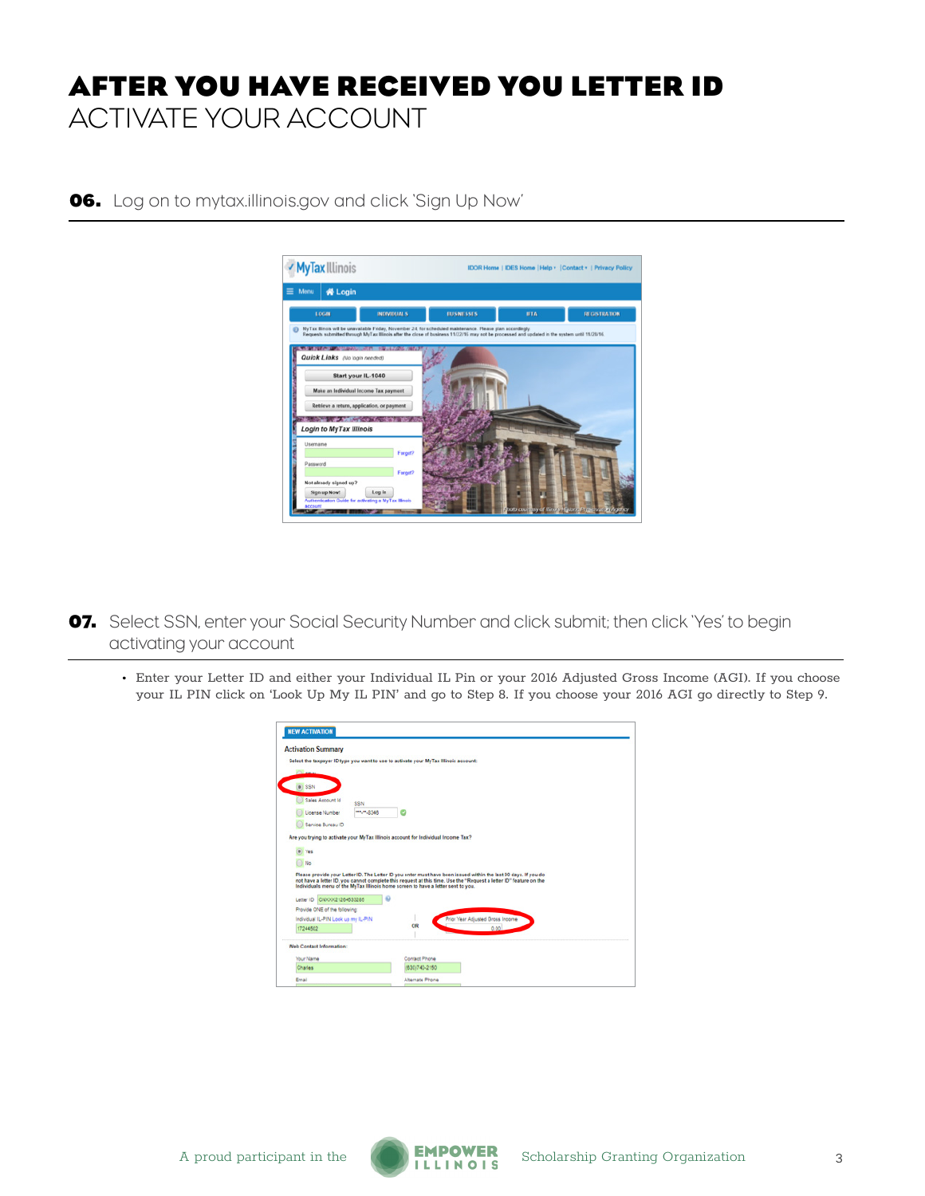# **AFTER YOU HAVE RECEIVED YOU LETTER ID** ACTIVATE YOUR ACCOUNT



**06.** Log on to mytax.illinois.gov and click 'Sign Up Now'

**07.** Select SSN, enter your Social Security Number and click submit; then click 'Yes' to begin activating your account

• Enter your Letter ID and either your Individual IL Pin or your 2016 Adjusted Gross Income (AGI). If you choose your IL PIN click on 'Look Up My IL PIN' and go to Step 8. If you choose your 2016 AGI go directly to Step 9.

| <b>NEW ACTIVATION</b>                                                                |                                                                                  |                                                                                                                                                                                                                                      |
|--------------------------------------------------------------------------------------|----------------------------------------------------------------------------------|--------------------------------------------------------------------------------------------------------------------------------------------------------------------------------------------------------------------------------------|
| <b>Activation Summary</b>                                                            |                                                                                  |                                                                                                                                                                                                                                      |
| Select the taxpayer ID type you want to use to activate your MyTax Illinois account: |                                                                                  |                                                                                                                                                                                                                                      |
|                                                                                      |                                                                                  |                                                                                                                                                                                                                                      |
| $\circ$ SSN                                                                          |                                                                                  |                                                                                                                                                                                                                                      |
| Sales Account Id<br>SSN                                                              |                                                                                  |                                                                                                                                                                                                                                      |
| License Number                                                                       | m.m.8346                                                                         |                                                                                                                                                                                                                                      |
| Service Bureau ID                                                                    |                                                                                  |                                                                                                                                                                                                                                      |
|                                                                                      | Individuals menu of the MyTax Illinois home screen to have a letter sent to you. | Please provide your Letter ID. The Letter ID you enter must have been issued within the last 90 days. If you do<br>not have a letter ID, you cannot complete this request at this time. Use the "Request a letter ID" feature on the |
| Letter ID CNXXX21264533285                                                           |                                                                                  |                                                                                                                                                                                                                                      |
| Provide ONE of the following:<br>Individual IL-PIN Look up my IL-PIN                 |                                                                                  | Prior Year Adjusted Gross Income                                                                                                                                                                                                     |
| 17244502                                                                             | ÖR                                                                               | 0.00.                                                                                                                                                                                                                                |
| Web Contact Information:                                                             |                                                                                  |                                                                                                                                                                                                                                      |
|                                                                                      | Contact Phone                                                                    |                                                                                                                                                                                                                                      |
| Your Name                                                                            |                                                                                  |                                                                                                                                                                                                                                      |
| Charles                                                                              | (630)740-2150                                                                    |                                                                                                                                                                                                                                      |

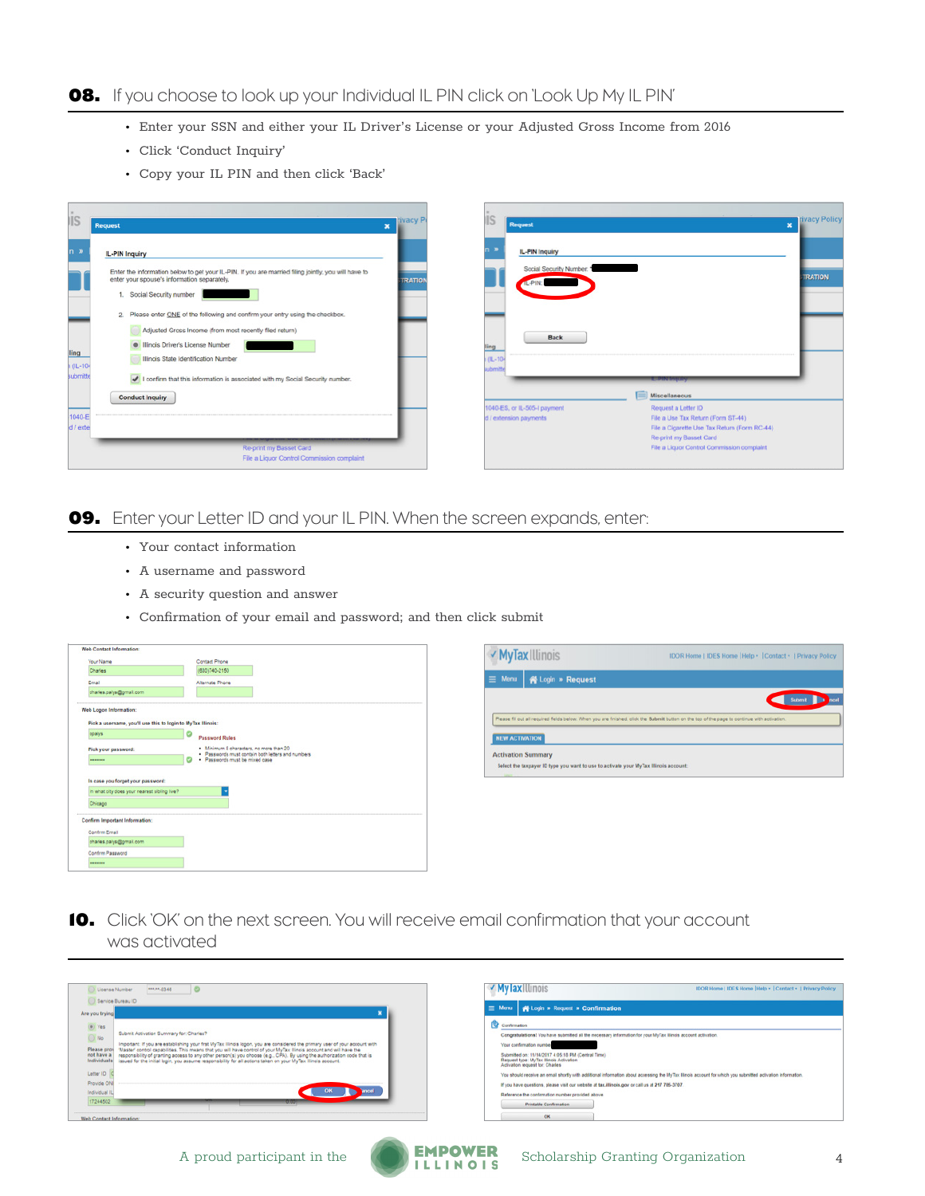### **08.** If you choose to look up your Individual IL PIN click on 'Look Up My IL PIN'

- Enter your SSN and either your IL Driver's License or your Adjusted Gross Income from 2016
- Click 'Conduct Inquiry'
- Copy your IL PIN and then click 'Back'



#### **09.** Enter your Letter ID and your IL PIN. When the screen expands, enter:

- Your contact information
- A username and password
- A security question and answer
- Confirmation of your email and password; and then click submit

| Your Name                                                    | Contact Phone                                                                       |
|--------------------------------------------------------------|-------------------------------------------------------------------------------------|
| Charles                                                      | (630)740-2150                                                                       |
| Email                                                        | Alternate Phone                                                                     |
| charles.palys@gmail.com                                      |                                                                                     |
| Web Logon Information:                                       |                                                                                     |
| Pick a username, you'll use this to login to MyTax Illinois: |                                                                                     |
| cpalys                                                       | <b>Password Rules</b>                                                               |
| Pick your password:                                          | . Minimum 8 characters, no more than 20                                             |
| --------                                                     | · Passwords must contain both letters and numbers<br>· Passwords must be mixed case |
|                                                              |                                                                                     |
| In case you forget your password:                            |                                                                                     |
|                                                              |                                                                                     |
| In what city does your nearest sibling live?                 |                                                                                     |
| Chicago                                                      |                                                                                     |
| <b>Confirm Important Information:</b>                        |                                                                                     |
| Confirm Email                                                |                                                                                     |
| charles.palys@gmail.com                                      |                                                                                     |
| Confirm Password                                             |                                                                                     |



**10.** Click 'OK' on the next screen. You will receive email confirmation that your account was activated

| $\overline{\phantom{a}}$<br>***** 0340<br>License Number                                                                                                                                                                                                                                                                                                                                                                                                                                                                                                                                                                                                                                      | V Mylax Illinois<br>IDOR Home   IDES Home   Help ·   Contact ·   Privacy Policy                                                                                                                                                                                                                                                                                                                                                                                                                                                                                                                                                                            |
|-----------------------------------------------------------------------------------------------------------------------------------------------------------------------------------------------------------------------------------------------------------------------------------------------------------------------------------------------------------------------------------------------------------------------------------------------------------------------------------------------------------------------------------------------------------------------------------------------------------------------------------------------------------------------------------------------|------------------------------------------------------------------------------------------------------------------------------------------------------------------------------------------------------------------------------------------------------------------------------------------------------------------------------------------------------------------------------------------------------------------------------------------------------------------------------------------------------------------------------------------------------------------------------------------------------------------------------------------------------------|
| Service Bureau ID<br>Are you trying                                                                                                                                                                                                                                                                                                                                                                                                                                                                                                                                                                                                                                                           | $\equiv$ Menu $\Rightarrow$ Login » Request » Confirmation                                                                                                                                                                                                                                                                                                                                                                                                                                                                                                                                                                                                 |
| O Yes<br>Submit Activation Summary for: Charles?<br>No.<br>Important: If you are establishing your first MyTax Illinois logon, you are considered the primary user of your account with<br>Master' control capabilities. This means that you will have control of your MyTax Illinois account and will have the<br>Please prov<br>responsibility of granting access to any other person(s) you choose (e.g., CPA). By using the authorization code that is<br>not have a<br>issued for the initial login, you assume responsibility for all actions taken on your My Tax Illinois account.<br>Individuals<br>Letter ID<br>Provide ON<br>Individual IL<br>17244502<br>Web Contact Information: | Confirmation<br>Congratulations! You have submitted all the necessary information for your MyTax Illinois account activation.<br>Your confirmation number<br>Submitted on: 11/14/2017 4:05:18 PM (Central Time)<br>Request type: MyTax Illinois Activation<br>Activation request for: Charles<br>You should receive an email shortly with additional information about accessing the MyTax Illinois account for which you submitted activation information.<br>If you have questions, please visit our website at tax.illinois.gov or call us at 217 785-3707.<br>Reference the confirmation number provided above.<br><b>Printable Confirmation</b><br>OK |
| --                                                                                                                                                                                                                                                                                                                                                                                                                                                                                                                                                                                                                                                                                            |                                                                                                                                                                                                                                                                                                                                                                                                                                                                                                                                                                                                                                                            |